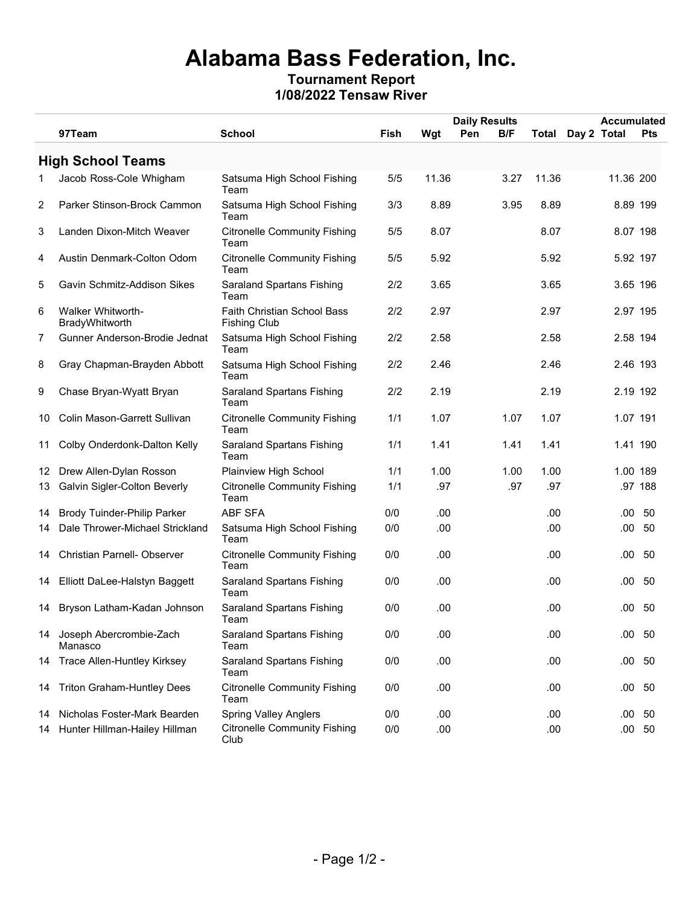## **Alabama Bass Federation, Inc. Tournament Report**

**1/08/2022 Tensaw River**

|    |                                            |                                                    |             |       | <b>Daily Results</b> |      |              | <b>Accumulated</b> |              |
|----|--------------------------------------------|----------------------------------------------------|-------------|-------|----------------------|------|--------------|--------------------|--------------|
|    | 97Team                                     | <b>School</b>                                      | <b>Fish</b> | Wgt   | Pen                  | B/F  | <b>Total</b> | Day 2 Total        | <b>Pts</b>   |
|    | <b>High School Teams</b>                   |                                                    |             |       |                      |      |              |                    |              |
| 1. | Jacob Ross-Cole Whigham                    | Satsuma High School Fishing<br>Team                | 5/5         | 11.36 |                      | 3.27 | 11.36        | 11.36 200          |              |
| 2  | Parker Stinson-Brock Cammon                | Satsuma High School Fishing<br>Team                | 3/3         | 8.89  |                      | 3.95 | 8.89         | 8.89 199           |              |
| 3  | Landen Dixon-Mitch Weaver                  | <b>Citronelle Community Fishing</b><br>Team        | 5/5         | 8.07  |                      |      | 8.07         | 8.07 198           |              |
| 4  | Austin Denmark-Colton Odom                 | <b>Citronelle Community Fishing</b><br>Team        | 5/5         | 5.92  |                      |      | 5.92         | 5.92 197           |              |
| 5  | Gavin Schmitz-Addison Sikes                | <b>Saraland Spartans Fishing</b><br>Team           | 2/2         | 3.65  |                      |      | 3.65         | 3.65 196           |              |
| 6  | <b>Walker Whitworth-</b><br>BradyWhitworth | Faith Christian School Bass<br><b>Fishing Club</b> | 2/2         | 2.97  |                      |      | 2.97         | 2.97 195           |              |
| 7  | Gunner Anderson-Brodie Jednat              | Satsuma High School Fishing<br>Team                | 2/2         | 2.58  |                      |      | 2.58         | 2.58 194           |              |
| 8  | Gray Chapman-Brayden Abbott                | Satsuma High School Fishing<br>Team                | 2/2         | 2.46  |                      |      | 2.46         | 2.46 193           |              |
| 9  | Chase Bryan-Wyatt Bryan                    | <b>Saraland Spartans Fishing</b><br>Team           | 2/2         | 2.19  |                      |      | 2.19         | 2.19 192           |              |
| 10 | Colin Mason-Garrett Sullivan               | <b>Citronelle Community Fishing</b><br>Team        | 1/1         | 1.07  |                      | 1.07 | 1.07         | 1.07 191           |              |
| 11 | Colby Onderdonk-Dalton Kelly               | <b>Saraland Spartans Fishing</b><br>Team           | 1/1         | 1.41  |                      | 1.41 | 1.41         | 1.41 190           |              |
| 12 | Drew Allen-Dylan Rosson                    | Plainview High School                              | 1/1         | 1.00  |                      | 1.00 | 1.00         | 1.00 189           |              |
| 13 | Galvin Sigler-Colton Beverly               | <b>Citronelle Community Fishing</b><br>Team        | 1/1         | .97   |                      | .97  | .97          |                    | .97 188      |
| 14 | <b>Brody Tuinder-Philip Parker</b>         | <b>ABF SFA</b>                                     | 0/0         | .00   |                      |      | .00          | .00                | 50           |
| 14 | Dale Thrower-Michael Strickland            | Satsuma High School Fishing<br>Team                | 0/0         | .00   |                      |      | .00          | .00.               | 50           |
| 14 | <b>Christian Parnell- Observer</b>         | <b>Citronelle Community Fishing</b><br>Team        | 0/0         | .00   |                      |      | .00.         | .00.               | 50           |
| 14 | Elliott DaLee-Halstyn Baggett              | <b>Saraland Spartans Fishing</b><br>Team           | 0/0         | .00   |                      |      | .00.         | .00.               | -50          |
| 14 | Bryson Latham-Kadan Johnson                | <b>Saraland Spartans Fishing</b><br>Team           | 0/0         | .00   |                      |      | .00          | .00.               | 50           |
|    | 14 Joseph Abercrombie-Zach<br>Manasco      | <b>Saraland Spartans Fishing</b><br>Team           | 0/0         | .00   |                      |      | .00          |                    | .00 50       |
| 14 | <b>Trace Allen-Huntley Kirksey</b>         | <b>Saraland Spartans Fishing</b><br>Team           | 0/0         | .00   |                      |      | .00          | $.00\,$            | - 50         |
| 14 | <b>Triton Graham-Huntley Dees</b>          | <b>Citronelle Community Fishing</b><br>Team        | 0/0         | .00   |                      |      | .00.         |                    | $.00\quad50$ |
| 14 | Nicholas Foster-Mark Bearden               | <b>Spring Valley Anglers</b>                       | 0/0         | .00   |                      |      | .00.         | .00.               | -50          |
| 14 | Hunter Hillman-Hailey Hillman              | <b>Citronelle Community Fishing</b><br>Club        | 0/0         | .00   |                      |      | .00          |                    | $.00\ 50$    |